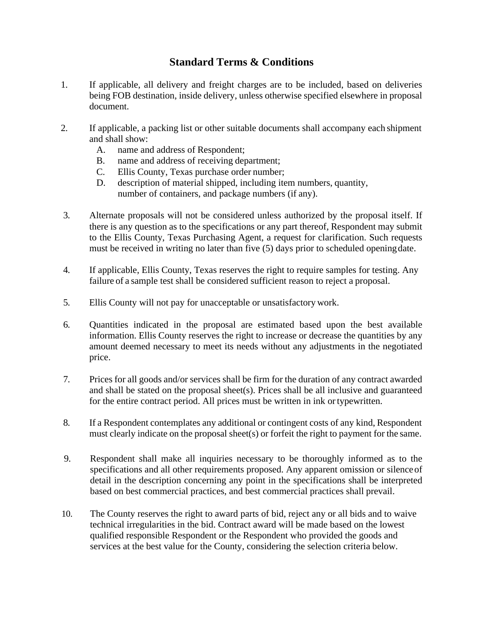## **Standard Terms & Conditions**

- 1. If applicable, all delivery and freight charges are to be included, based on deliveries being FOB destination, inside delivery, unless otherwise specified elsewhere in proposal document.
- 2. If applicable, a packing list or other suitable documents shall accompany each shipment and shall show:
	- A. name and address of Respondent;
	- B. name and address of receiving department;
	- C. Ellis County, Texas purchase order number;
	- D. description of material shipped, including item numbers, quantity, number of containers, and package numbers (if any).
- 3. Alternate proposals will not be considered unless authorized by the proposal itself. If there is any question as to the specifications or any part thereof, Respondent may submit to the Ellis County, Texas Purchasing Agent, a request for clarification. Such requests must be received in writing no later than five (5) days prior to scheduled openingdate.
- 4. If applicable, Ellis County, Texas reserves the right to require samples for testing. Any failure of a sample test shall be considered sufficient reason to reject a proposal.
- 5. Ellis County will not pay for unacceptable or unsatisfactory work.
- 6. Quantities indicated in the proposal are estimated based upon the best available information. Ellis County reserves the right to increase or decrease the quantities by any amount deemed necessary to meet its needs without any adjustments in the negotiated price.
- 7. Prices for all goods and/or services shall be firm for the duration of any contract awarded and shall be stated on the proposal sheet(s). Prices shall be all inclusive and guaranteed for the entire contract period. All prices must be written in ink ortypewritten.
- 8. If a Respondent contemplates any additional or contingent costs of any kind, Respondent must clearly indicate on the proposal sheet(s) or forfeit the right to payment for the same.
- 9. Respondent shall make all inquiries necessary to be thoroughly informed as to the specifications and all other requirements proposed. Any apparent omission or silenceof detail in the description concerning any point in the specifications shall be interpreted based on best commercial practices, and best commercial practices shall prevail.
- 10. The County reserves the right to award parts of bid, reject any or all bids and to waive technical irregularities in the bid. Contract award will be made based on the lowest qualified responsible Respondent or the Respondent who provided the goods and services at the best value for the County, considering the selection criteria below.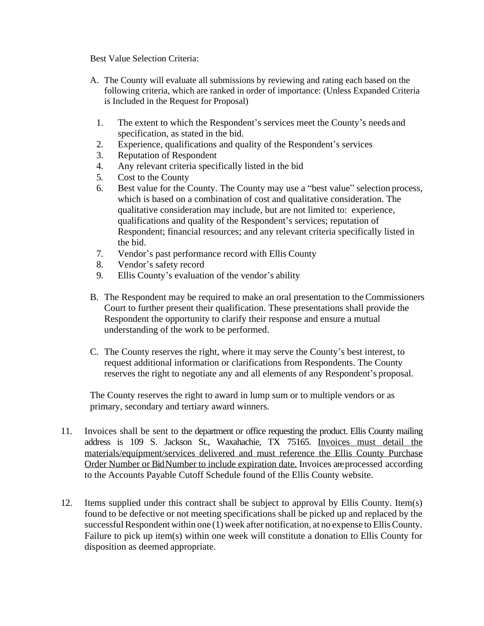Best Value Selection Criteria:

- A. The County will evaluate all submissions by reviewing and rating each based on the following criteria, which are ranked in order of importance: (Unless Expanded Criteria is Included in the Request for Proposal)
	- 1. The extent to which the Respondent's services meet the County's needs and specification, as stated in the bid.
	- 2. Experience, qualifications and quality of the Respondent's services
	- 3. Reputation of Respondent
	- 4. Any relevant criteria specifically listed in the bid
	- 5. Cost to the County
	- 6. Best value for the County. The County may use a "best value" selection process, which is based on a combination of cost and qualitative consideration. The qualitative consideration may include, but are not limited to: experience, qualifications and quality of the Respondent's services; reputation of Respondent; financial resources; and any relevant criteria specifically listed in the bid.
	- 7. Vendor's past performance record with Ellis County
	- 8. Vendor's safety record
	- 9. Ellis County's evaluation of the vendor's ability
- B. The Respondent may be required to make an oral presentation to the Commissioners Court to further present their qualification. These presentations shall provide the Respondent the opportunity to clarify their response and ensure a mutual understanding of the work to be performed.
- C. The County reserves the right, where it may serve the County's best interest, to request additional information or clarifications from Respondents. The County reserves the right to negotiate any and all elements of any Respondent's proposal.

The County reserves the right to award in lump sum or to multiple vendors or as primary, secondary and tertiary award winners.

- 11. Invoices shall be sent to the department or office requesting the product. Ellis County mailing address is 109 S. Jackson St., Waxahachie, TX 75165. Invoices must detail the materials/equipment/services delivered and must reference the Ellis County Purchase Order Number or BidNumber to include expiration date. Invoices are processed according to the Accounts Payable Cutoff Schedule found of the Ellis County website.
- 12. Items supplied under this contract shall be subject to approval by Ellis County. Item(s) found to be defective or not meeting specifications shall be picked up and replaced by the successful Respondent within one (1) week after notification, at no expense to Ellis County. Failure to pick up item(s) within one week will constitute a donation to Ellis County for disposition as deemed appropriate.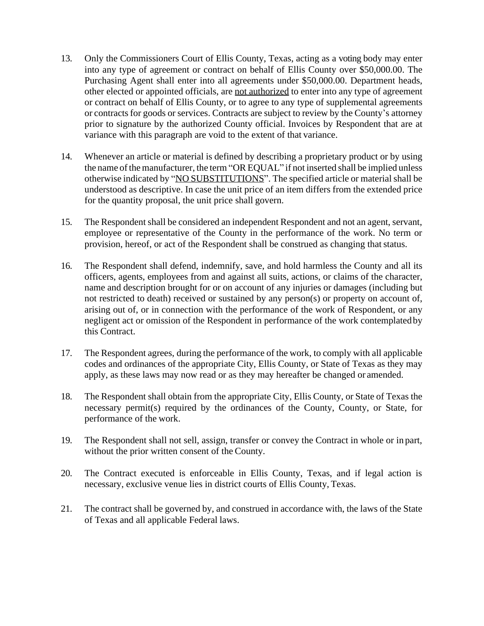- 13. Only the Commissioners Court of Ellis County, Texas, acting as a voting body may enter into any type of agreement or contract on behalf of Ellis County over \$50,000.00. The Purchasing Agent shall enter into all agreements under \$50,000.00. Department heads, other elected or appointed officials, are not authorized to enter into any type of agreement or contract on behalf of Ellis County, or to agree to any type of supplemental agreements or contracts for goods or services. Contracts are subject to review by the County's attorney prior to signature by the authorized County official. Invoices by Respondent that are at variance with this paragraph are void to the extent of that variance.
- 14. Whenever an article or material is defined by describing a proprietary product or by using the name of the manufacturer, the term "OR EQUAL" if not inserted shall be implied unless otherwise indicated by "NO SUBSTITUTIONS". The specified article or material shall be understood as descriptive. In case the unit price of an item differs from the extended price for the quantity proposal, the unit price shall govern.
- 15. The Respondent shall be considered an independent Respondent and not an agent, servant, employee or representative of the County in the performance of the work. No term or provision, hereof, or act of the Respondent shall be construed as changing that status.
- 16. The Respondent shall defend, indemnify, save, and hold harmless the County and all its officers, agents, employees from and against all suits, actions, or claims of the character, name and description brought for or on account of any injuries or damages (including but not restricted to death) received or sustained by any person(s) or property on account of, arising out of, or in connection with the performance of the work of Respondent, or any negligent act or omission of the Respondent in performance of the work contemplatedby this Contract.
- 17. The Respondent agrees, during the performance of the work, to comply with all applicable codes and ordinances of the appropriate City, Ellis County, or State of Texas as they may apply, as these laws may now read or as they may hereafter be changed or amended.
- 18. The Respondent shall obtain from the appropriate City, Ellis County, or State of Texas the necessary permit(s) required by the ordinances of the County, County, or State, for performance of the work.
- 19. The Respondent shall not sell, assign, transfer or convey the Contract in whole or in part, without the prior written consent of the County.
- 20. The Contract executed is enforceable in Ellis County, Texas, and if legal action is necessary, exclusive venue lies in district courts of Ellis County, Texas.
- 21. The contract shall be governed by, and construed in accordance with, the laws of the State of Texas and all applicable Federal laws.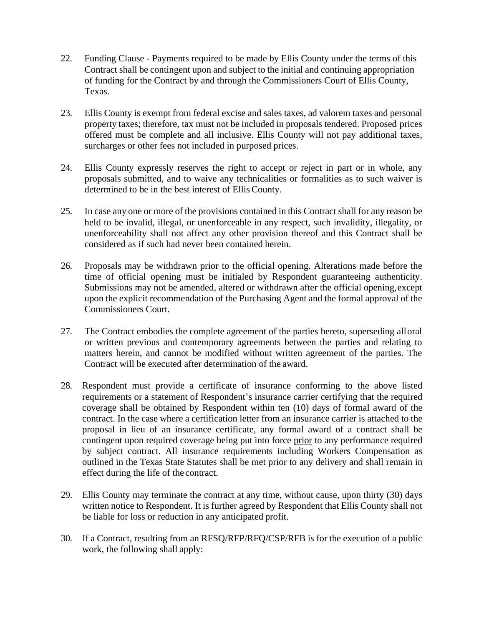- 22. Funding Clause Payments required to be made by Ellis County under the terms of this Contract shall be contingent upon and subject to the initial and continuing appropriation of funding for the Contract by and through the Commissioners Court of Ellis County, Texas.
- 23. Ellis County is exempt from federal excise and sales taxes, ad valorem taxes and personal property taxes; therefore, tax must not be included in proposals tendered. Proposed prices offered must be complete and all inclusive. Ellis County will not pay additional taxes, surcharges or other fees not included in purposed prices.
- 24. Ellis County expressly reserves the right to accept or reject in part or in whole, any proposals submitted, and to waive any technicalities or formalities as to such waiver is determined to be in the best interest of Ellis County.
- 25. In case any one or more of the provisions contained in this Contract shall for any reason be held to be invalid, illegal, or unenforceable in any respect, such invalidity, illegality, or unenforceability shall not affect any other provision thereof and this Contract shall be considered as if such had never been contained herein.
- 26. Proposals may be withdrawn prior to the official opening. Alterations made before the time of official opening must be initialed by Respondent guaranteeing authenticity. Submissions may not be amended, altered or withdrawn after the official opening,except upon the explicit recommendation of the Purchasing Agent and the formal approval of the Commissioners Court.
- 27. The Contract embodies the complete agreement of the parties hereto, superseding alloral or written previous and contemporary agreements between the parties and relating to matters herein, and cannot be modified without written agreement of the parties. The Contract will be executed after determination of the award.
- 28. Respondent must provide a certificate of insurance conforming to the above listed requirements or a statement of Respondent's insurance carrier certifying that the required coverage shall be obtained by Respondent within ten (10) days of formal award of the contract. In the case where a certification letter from an insurance carrier is attached to the proposal in lieu of an insurance certificate, any formal award of a contract shall be contingent upon required coverage being put into force prior to any performance required by subject contract. All insurance requirements including Workers Compensation as outlined in the Texas State Statutes shall be met prior to any delivery and shall remain in effect during the life of the contract.
- 29. Ellis County may terminate the contract at any time, without cause, upon thirty (30) days written notice to Respondent. It is further agreed by Respondent that Ellis County shall not be liable for loss or reduction in any anticipated profit.
- 30. If a Contract, resulting from an RFSQ/RFP/RFQ/CSP/RFB is for the execution of a public work, the following shall apply: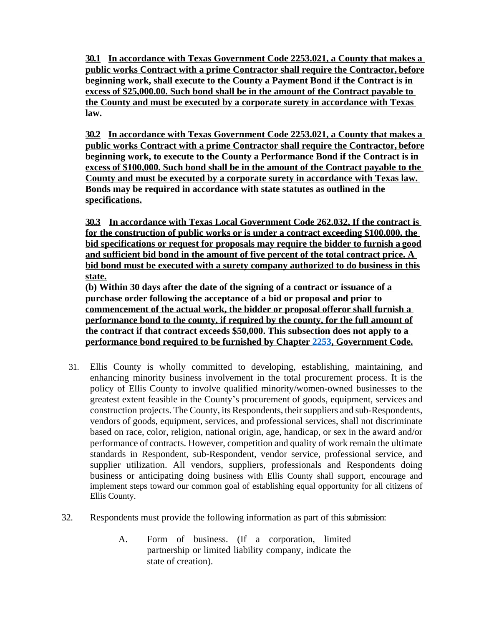**30.1 In accordance with Texas Government Code 2253.021, a County that makes a public works Contract with a prime Contractor shall require the Contractor, before beginning work, shall execute to the County a Payment Bond if the Contract is in excess of \$25,000.00. Such bond shall be in the amount of the Contract payable to the County and must be executed by a corporate surety in accordance with Texas law.**

**30.2 In accordance with Texas Government Code 2253.021, a County that makes a public works Contract with a prime Contractor shall require the Contractor, before beginning work, to execute to the County a Performance Bond if the Contract is in excess of \$100,000. Such bond shall be in the amount of the Contract payable to the County and must be executed by a corporate surety in accordance with Texas law. Bonds may be required in accordance with state statutes as outlined in the specifications.**

**30.3 In accordance with Texas Local Government Code 262.032, If the contract is for the construction of public works or is under a contract exceeding \$100,000, the bid specifications or request for proposals may require the bidder to furnish a good and sufficient bid bond in the amount of five percent of the total contract price. A bid bond must be executed with a surety company authorized to do business in this state.**

**(b) Within 30 days after the date of the signing of a contract or issuance of a purchase order following the acceptance of a bid or proposal and prior to commencement of the actual work, the bidder or proposal offeror shall furnish a performance bond to the county, if required by the county, for the full amount of the contract if that contract exceeds \$50,000. This subsection does not apply to a performance bond required to be furnished by Chapter [2253](http://www.statutes.legis.state.tx.us/GetStatute.aspx?Code=GV&Value=2253), Government Code.**

- 31. Ellis County is wholly committed to developing, establishing, maintaining, and enhancing minority business involvement in the total procurement process. It is the policy of Ellis County to involve qualified minority/women-owned businesses to the greatest extent feasible in the County's procurement of goods, equipment, services and construction projects. The County, its Respondents, their suppliers and sub-Respondents, vendors of goods, equipment, services, and professional services, shall not discriminate based on race, color, religion, national origin, age, handicap, or sex in the award and/or performance of contracts. However, competition and quality of work remain the ultimate standards in Respondent, sub-Respondent, vendor service, professional service, and supplier utilization. All vendors, suppliers, professionals and Respondents doing business or anticipating doing business with Ellis County shall support, encourage and implement steps toward our common goal of establishing equal opportunity for all citizens of Ellis County.
- 32. Respondents must provide the following information as part of this submission:
	- A. Form of business. (If a corporation, limited partnership or limited liability company, indicate the state of creation).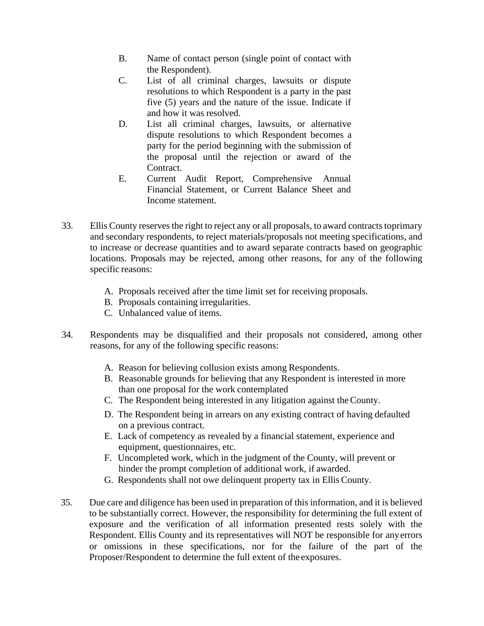- B. Name of contact person (single point of contact with the Respondent).
- C. List of all criminal charges, lawsuits or dispute resolutions to which Respondent is a party in the past five (5) years and the nature of the issue. Indicate if and how it was resolved.
- D. List all criminal charges, lawsuits, or alternative dispute resolutions to which Respondent becomes a party for the period beginning with the submission of the proposal until the rejection or award of the Contract.
- E. Current Audit Report, Comprehensive Annual Financial Statement, or Current Balance Sheet and Income statement.
- 33. Ellis County reserves the right to reject any or all proposals, to award contracts toprimary and secondary respondents, to reject materials/proposals not meeting specifications, and to increase or decrease quantities and to award separate contracts based on geographic locations. Proposals may be rejected, among other reasons, for any of the following specific reasons:
	- A. Proposals received after the time limit set for receiving proposals.
	- B. Proposals containing irregularities.
	- C. Unbalanced value of items.
- 34. Respondents may be disqualified and their proposals not considered, among other reasons, for any of the following specific reasons:
	- A. Reason for believing collusion exists among Respondents.
	- B. Reasonable grounds for believing that any Respondent is interested in more than one proposal for the work contemplated
	- C. The Respondent being interested in any litigation against theCounty.
	- D. The Respondent being in arrears on any existing contract of having defaulted on a previous contract.
	- E. Lack of competency as revealed by a financial statement, experience and equipment, questionnaires, etc.
	- F. Uncompleted work, which in the judgment of the County, will prevent or hinder the prompt completion of additional work, if awarded.
	- G. Respondents shall not owe delinquent property tax in Ellis County.
- 35. Due care and diligence has been used in preparation of this information, and it is believed to be substantially correct. However, the responsibility for determining the full extent of exposure and the verification of all information presented rests solely with the Respondent. Ellis County and its representatives will NOT be responsible for anyerrors or omissions in these specifications, nor for the failure of the part of the Proposer/Respondent to determine the full extent of the exposures.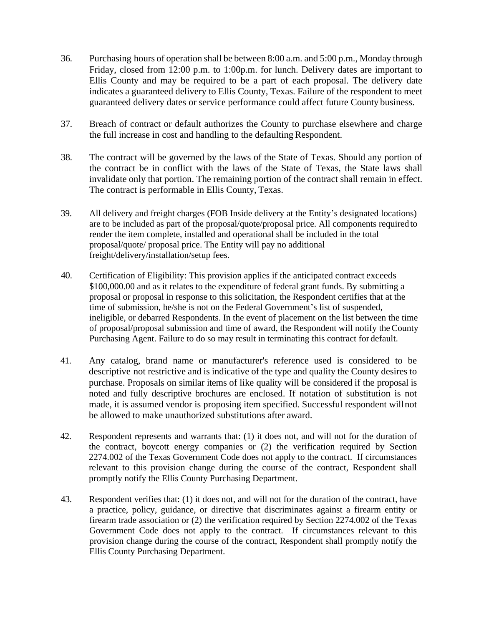- 36. Purchasing hours of operation shall be between 8:00 a.m. and 5:00 p.m., Monday through Friday, closed from 12:00 p.m. to 1:00p.m. for lunch. Delivery dates are important to Ellis County and may be required to be a part of each proposal. The delivery date indicates a guaranteed delivery to Ellis County, Texas. Failure of the respondent to meet guaranteed delivery dates or service performance could affect future County business.
- 37. Breach of contract or default authorizes the County to purchase elsewhere and charge the full increase in cost and handling to the defaulting Respondent.
- 38. The contract will be governed by the laws of the State of Texas. Should any portion of the contract be in conflict with the laws of the State of Texas, the State laws shall invalidate only that portion. The remaining portion of the contract shall remain in effect. The contract is performable in Ellis County, Texas.
- 39. All delivery and freight charges (FOB Inside delivery at the Entity's designated locations) are to be included as part of the proposal/quote/proposal price. All components required to render the item complete, installed and operational shall be included in the total proposal/quote/ proposal price. The Entity will pay no additional freight/delivery/installation/setup fees.
- 40. Certification of Eligibility: This provision applies if the anticipated contract exceeds \$100,000.00 and as it relates to the expenditure of federal grant funds. By submitting a proposal or proposal in response to this solicitation, the Respondent certifies that at the time of submission, he/she is not on the Federal Government's list of suspended, ineligible, or debarred Respondents. In the event of placement on the list between the time of proposal/proposal submission and time of award, the Respondent will notify theCounty Purchasing Agent. Failure to do so may result in terminating this contract for default.
- 41. Any catalog, brand name or manufacturer's reference used is considered to be descriptive not restrictive and is indicative of the type and quality the County desires to purchase. Proposals on similar items of like quality will be considered if the proposal is noted and fully descriptive brochures are enclosed. If notation of substitution is not made, it is assumed vendor is proposing item specified. Successful respondent willnot be allowed to make unauthorized substitutions after award.
- 42. Respondent represents and warrants that: (1) it does not, and will not for the duration of the contract, boycott energy companies or (2) the verification required by Section 2274.002 of the Texas Government Code does not apply to the contract. If circumstances relevant to this provision change during the course of the contract, Respondent shall promptly notify the Ellis County Purchasing Department.
- 43. Respondent verifies that: (1) it does not, and will not for the duration of the contract, have a practice, policy, guidance, or directive that discriminates against a firearm entity or firearm trade association or (2) the verification required by Section 2274.002 of the Texas Government Code does not apply to the contract. If circumstances relevant to this provision change during the course of the contract, Respondent shall promptly notify the Ellis County Purchasing Department.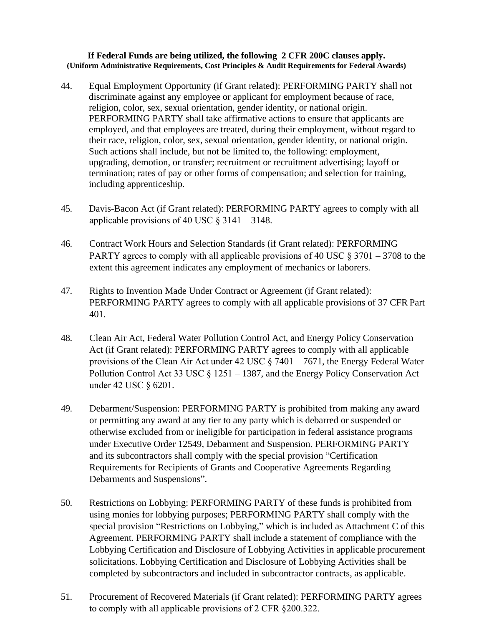## **If Federal Funds are being utilized, the following 2 CFR 200C clauses apply. (Uniform Administrative Requirements, Cost Principles & Audit Requirements for Federal Awards)**

- 44. Equal Employment Opportunity (if Grant related): PERFORMING PARTY shall not discriminate against any employee or applicant for employment because of race, religion, color, sex, sexual orientation, gender identity, or national origin. PERFORMING PARTY shall take affirmative actions to ensure that applicants are employed, and that employees are treated, during their employment, without regard to their race, religion, color, sex, sexual orientation, gender identity, or national origin. Such actions shall include, but not be limited to, the following: employment, upgrading, demotion, or transfer; recruitment or recruitment advertising; layoff or termination; rates of pay or other forms of compensation; and selection for training, including apprenticeship.
- 45. Davis-Bacon Act (if Grant related): PERFORMING PARTY agrees to comply with all applicable provisions of 40 USC  $\S$  3141 – 3148.
- 46. Contract Work Hours and Selection Standards (if Grant related): PERFORMING PARTY agrees to comply with all applicable provisions of 40 USC  $\S 3701 - 3708$  to the extent this agreement indicates any employment of mechanics or laborers.
- 47. Rights to Invention Made Under Contract or Agreement (if Grant related): PERFORMING PARTY agrees to comply with all applicable provisions of 37 CFR Part 401.
- 48. Clean Air Act, Federal Water Pollution Control Act, and Energy Policy Conservation Act (if Grant related): PERFORMING PARTY agrees to comply with all applicable provisions of the Clean Air Act under 42 USC § 7401 – 7671, the Energy Federal Water Pollution Control Act 33 USC § 1251 – 1387, and the Energy Policy Conservation Act under 42 USC § 6201.
- 49. Debarment/Suspension: PERFORMING PARTY is prohibited from making any award or permitting any award at any tier to any party which is debarred or suspended or otherwise excluded from or ineligible for participation in federal assistance programs under Executive Order 12549, Debarment and Suspension. PERFORMING PARTY and its subcontractors shall comply with the special provision "Certification Requirements for Recipients of Grants and Cooperative Agreements Regarding Debarments and Suspensions".
- 50. Restrictions on Lobbying: PERFORMING PARTY of these funds is prohibited from using monies for lobbying purposes; PERFORMING PARTY shall comply with the special provision "Restrictions on Lobbying," which is included as Attachment C of this Agreement. PERFORMING PARTY shall include a statement of compliance with the Lobbying Certification and Disclosure of Lobbying Activities in applicable procurement solicitations. Lobbying Certification and Disclosure of Lobbying Activities shall be completed by subcontractors and included in subcontractor contracts, as applicable.
- 51. Procurement of Recovered Materials (if Grant related): PERFORMING PARTY agrees to comply with all applicable provisions of 2 CFR §200.322.